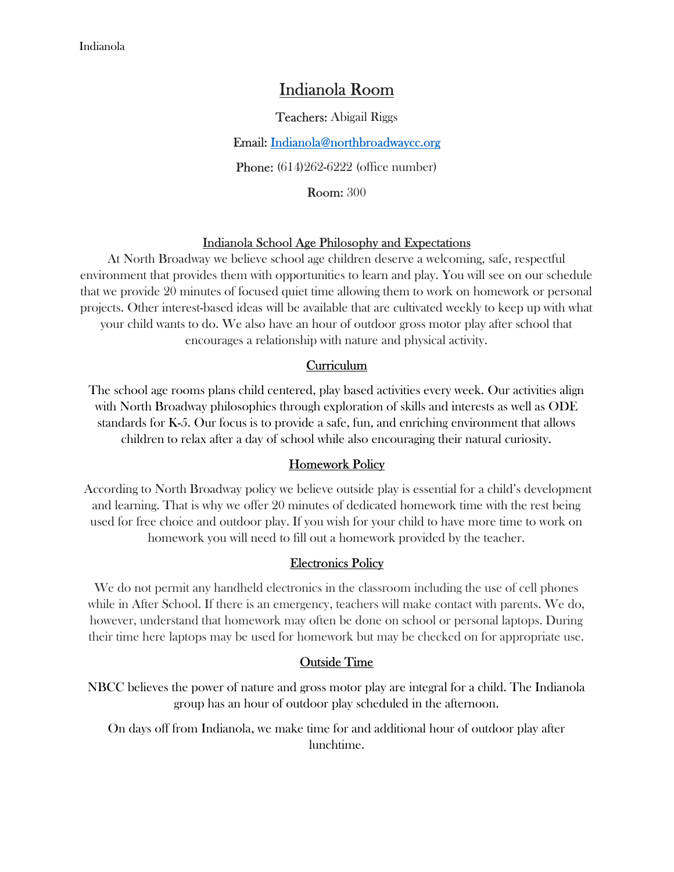# Indianola Room

Teachers: Abigail Riggs

Email: Indianola@northbroadwaycc.org

**Phone:** (614)262-6222 (office number)

Room: 300

#### Indianola School Age Philosophy and Expectations

At North Broadway we believe school age children deserve a welcoming, safe, respectful environment that provides them with opportunities to learn and play. You will see on our schedule that we provide 20 minutes of focused quiet time allowing them to work on homework or personal projects. Other interest-based ideas will be available that are cultivated weekly to keep up with what your child wants to do. We also have an hour of outdoor gross motor play after school that encourages a relationship with nature and physical activity.

#### Curriculum

The school age rooms plans child centered, play based activities every week. Our activities align with North Broadway philosophies through exploration of skills and interests as well as ODE standards for K-5. Our focus is to provide a safe, fun, and enriching environment that allows children to relax after a day of school while also encouraging their natural curiosity.

#### Homework Policy

 According to North Broadway policy we believe outside play is essential for a child's development and learning. That is why we offer 20 minutes of dedicated homework time with the rest being used for free choice and outdoor play. If you wish for your child to have more time to work on homework you will need to fill out a homework provided by the teacher.

#### Electronics Policy

We do not permit any handheld electronics in the classroom including the use of cell phones while in After School. If there is an emergency, teachers will make contact with parents. We do, however, understand that homework may often be done on school or personal laptops. During their time here laptops may be used for homework but may be checked on for appropriate use.

#### Outside Time

NBCC believes the power of nature and gross motor play are integral for a child. The Indianola group has an hour of outdoor play scheduled in the afternoon.

On days off from Indianola, we make time for and additional hour of outdoor play after lunchtime.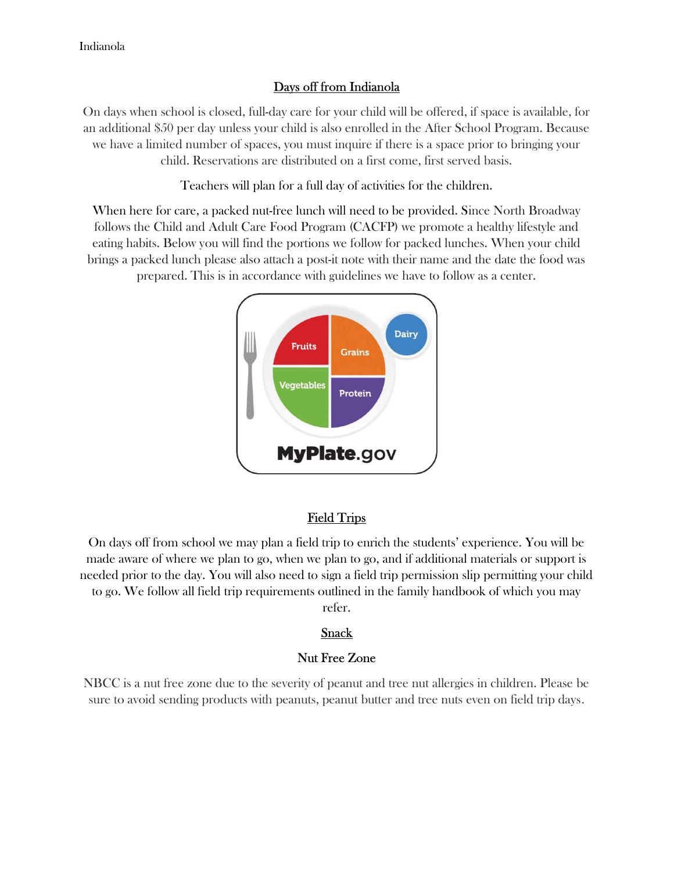# Days off from Indianola

On days when school is closed, full-day care for your child will be offered, if space is available, for an additional \$50 per day unless your child is also enrolled in the After School Program. Because we have a limited number of spaces, you must inquire if there is a space prior to bringing your child. Reservations are distributed on a first come, first served basis.

Teachers will plan for a full day of activities for the children.

When here for care, a packed nut-free lunch will need to be provided. Since North Broadway follows the Child and Adult Care Food Program (CACFP) we promote a healthy lifestyle and eating habits. Below you will find the portions we follow for packed lunches. When your child brings a packed lunch please also attach a post-it note with their name and the date the food was prepared. This is in accordance with guidelines we have to follow as a center.



# Field Trips

On days off from school we may plan a field trip to enrich the students' experience. You will be made aware of where we plan to go, when we plan to go, and if additional materials or support is needed prior to the day. You will also need to sign a field trip permission slip permitting your child to go. We follow all field trip requirements outlined in the family handbook of which you may refer.

# Snack

#### Nut Free Zone

NBCC is a nut free zone due to the severity of peanut and tree nut allergies in children. Please be sure to avoid sending products with peanuts, peanut butter and tree nuts even on field trip days.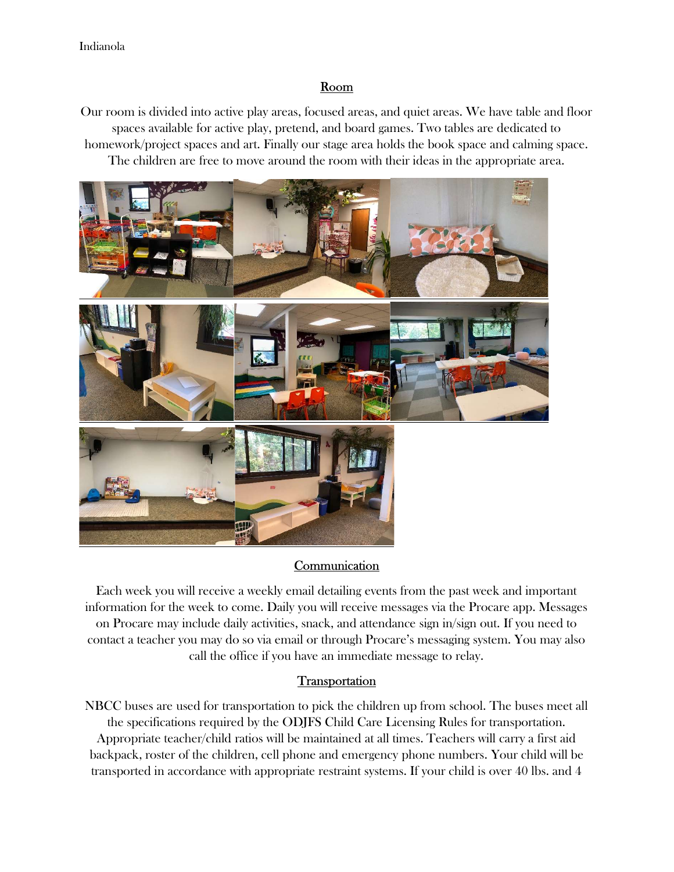# Room

Our room is divided into active play areas, focused areas, and quiet areas. We have table and floor spaces available for active play, pretend, and board games. Two tables are dedicated to homework/project spaces and art. Finally our stage area holds the book space and calming space. The children are free to move around the room with their ideas in the appropriate area.



# **Communication**

Each week you will receive a weekly email detailing events from the past week and important information for the week to come. Daily you will receive messages via the Procare app. Messages on Procare may include daily activities, snack, and attendance sign in/sign out. If you need to contact a teacher you may do so via email or through Procare's messaging system. You may also call the office if you have an immediate message to relay.

# **Transportation**

NBCC buses are used for transportation to pick the children up from school. The buses meet all the specifications required by the ODJFS Child Care Licensing Rules for transportation. Appropriate teacher/child ratios will be maintained at all times. Teachers will carry a first aid backpack, roster of the children, cell phone and emergency phone numbers. Your child will be transported in accordance with appropriate restraint systems. If your child is over 40 lbs. and 4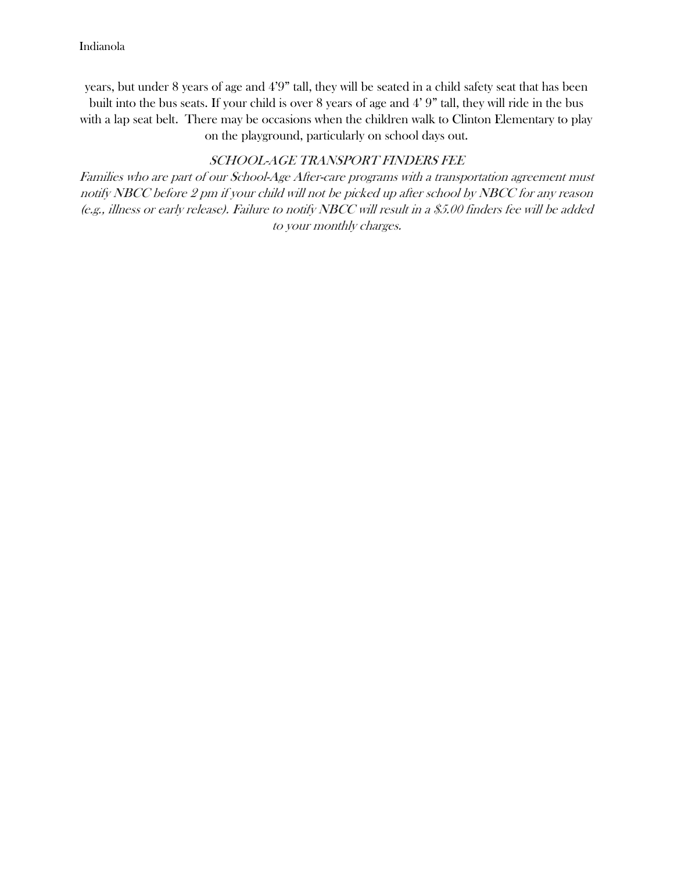years, but under 8 years of age and 4'9" tall, they will be seated in a child safety seat that has been built into the bus seats. If your child is over 8 years of age and 4' 9" tall, they will ride in the bus with a lap seat belt. There may be occasions when the children walk to Clinton Elementary to play on the playground, particularly on school days out.

### SCHOOL-AGE TRANSPORT FINDERS FEE

Families who are part of our School-Age After-care programs with a transportation agreement must notify NBCC before 2 pm if your child will not be picked up after school by NBCC for any reason (e.g., illness or early release). Failure to notify NBCC will result in a \$5.00 finders fee will be added to your monthly charges.